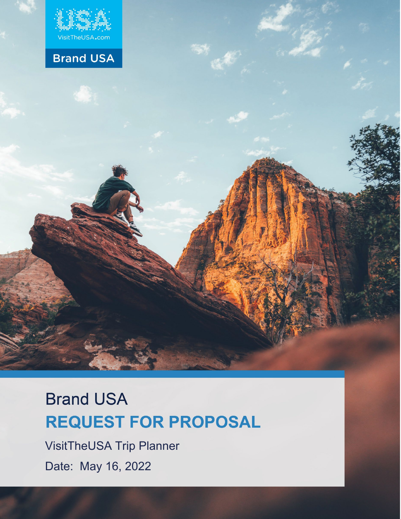

Proposal

# **Brand USA**

# **Brand USA REQUEST FOR PROPOSAL**

VisitTheUSA Trip Planner Date: May 16, 2022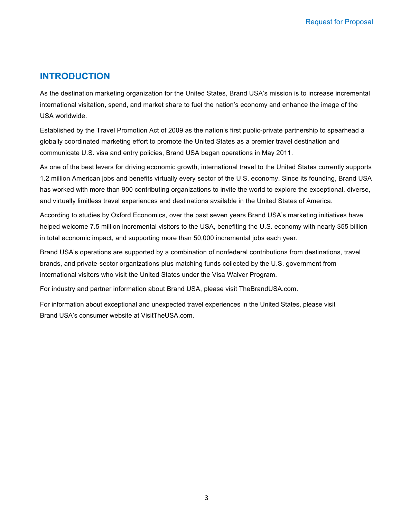#### **INTRODUCTION**

As the destination marketing organization for the United States, Brand USA's mission is to increase incremental international visitation, spend, and market share to fuel the nation's economy and enhance the image of the USA worldwide.

Established by the Travel Promotion Act of 2009 as the nation's first public-private partnership to spearhead a globally coordinated marketing effort to promote the United States as a premier travel destination and communicate U.S. visa and entry policies, Brand USA began operations in May 2011.

As one of the best levers for driving economic growth, international travel to the United States currently supports 1.2 million American jobs and benefits virtually every sector of the U.S. economy. Since its founding, Brand USA has worked with more than 900 contributing organizations to invite the world to explore the exceptional, diverse, and virtually limitless travel experiences and destinations available in the United States of America.

According to studies by Oxford Economics, over the past seven years Brand USA's marketing initiatives have helped welcome 7.5 million incremental visitors to the USA, benefiting the U.S. economy with nearly \$55 billion in total economic impact, and supporting more than 50,000 incremental jobs each year.

Brand USA's operations are supported by a combination of nonfederal contributions from destinations, travel brands, and private-sector organizations plus matching funds collected by the U.S. government from international visitors who visit the United States under the Visa Waiver Program.

For industry and partner information about Brand USA, please visit TheBrandUSA.com.

For information about exceptional and unexpected travel experiences in the United States, please visit Brand USA's consumer website at VisitTheUSA.com.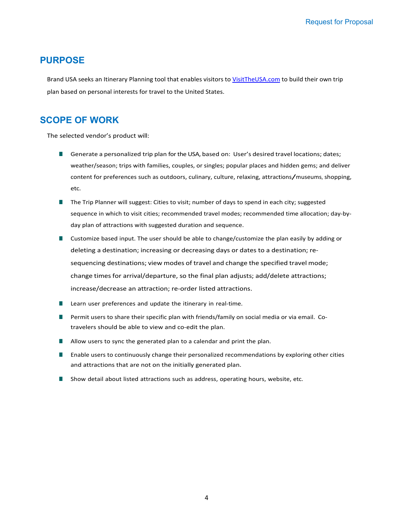#### **PURPOSE**

Brand USA seeks an Itinerary Planning tool that enables visitors to VisitTheUSA.com to build their own trip plan based on personal interests for travel to the United States.

#### **SCOPE OF WORK**

The selected vendor's product will:

- Generate a personalized trip plan for the USA, based on: User's desired travel locations; dates; weather/season; trips with families, couples, or singles; popular places and hidden gems; and deliver content for preferences such as outdoors, culinary, culture, relaxing, attractions/museums, shopping, etc.
- The Trip Planner will suggest: Cities to visit; number of days to spend in each city; suggested sequence in which to visit cities; recommended travel modes; recommended time allocation; day-byday plan of attractions with suggested duration and sequence.
- Customize based input. The user should be able to change/customize the plan easily by adding or deleting a destination; increasing or decreasing days or dates to a destination; resequencing destinations; view modes of travel and change the specified travel mode; change times for arrival/departure, so the final plan adjusts; add/delete attractions; increase/decrease an attraction; re-order listed attractions.
- Learn user preferences and update the itinerary in real-time.
- Permit users to share their specific plan with friends/family on social media or via email. Cotravelers should be able to view and co-edit the plan.
- Allow users to sync the generated plan to a calendar and print the plan.
- Enable users to continuously change their personalized recommendations by exploring other cities and attractions that are not on the initially generated plan.
- Show detail about listed attractions such as address, operating hours, website, etc.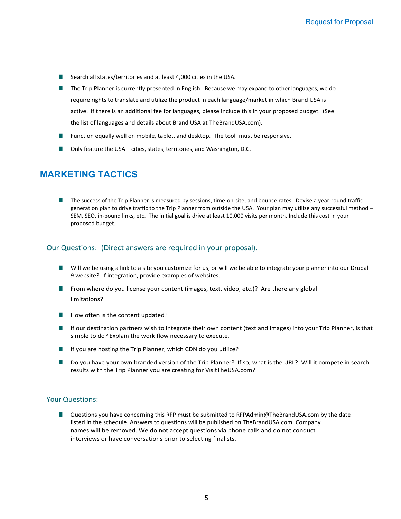- Search all states/territories and at least 4,000 cities in the USA.
- The Trip Planner is currently presented in English. Because we may expand to other languages, we do require rights to translate and utilize the product in each language/market in which Brand USA is active. If there is an additional fee for languages, please include this in your proposed budget. (See the list of languages and details about Brand USA at TheBrandUSA.com).
- Function equally well on mobile, tablet, and desktop. The tool must be responsive.
- Only feature the USA cities, states, territories, and Washington, D.C.

#### **MARKETING TACTICS**

■ The success of the Trip Planner is measured by sessions, time-on-site, and bounce rates. Devise a year-round traffic generation plan to drive traffic to the Trip Planner from outside the USA. Your plan may utilize any successful method – SEM, SEO, in-bound links, etc. The initial goal is drive at least 10,000 visits per month. Include this cost in your proposed budget.

#### Our Questions: (Direct answers are required in your proposal).

- Will we be using a link to a site you customize for us, or will we be able to integrate your planner into our Drupal 9 website? If integration, provide examples of websites.
- From where do you license your content (images, text, video, etc.)? Are there any global limitations?
- How often is the content updated?
- If our destination partners wish to integrate their own content (text and images) into your Trip Planner, is that simple to do? Explain the work flow necessary to execute.
- If you are hosting the Trip Planner, which CDN do you utilize?
- Do you have your own branded version of the Trip Planner? If so, what is the URL? Will it compete in search results with the Trip Planner you are creating for VisitTheUSA.com?

#### Your Questions:

■ Questions you have concerning this RFP must be submitted to [RFPAdmin@TheBrandUSA.com b](mailto:RFPAdmin@TheBrandUSA.com)y the date listed in the schedule. Answers to questions will be published on TheBrandUSA.com. Company names will be removed. We do not accept questions via phone calls and do not conduct interviews or have conversations prior to selecting finalists.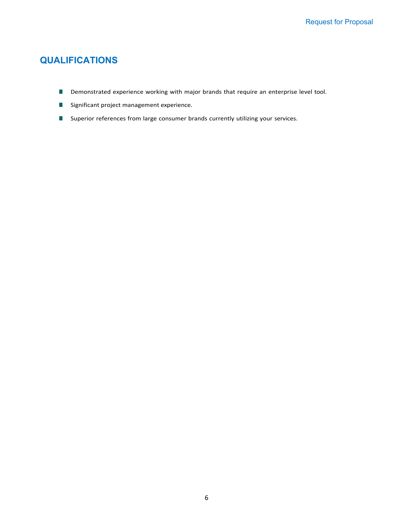#### **QUALIFICATIONS**

- Demonstrated experience working with major brands that require an enterprise level tool.
- Significant project management experience.
- Superior references from large consumer brands currently utilizing your services.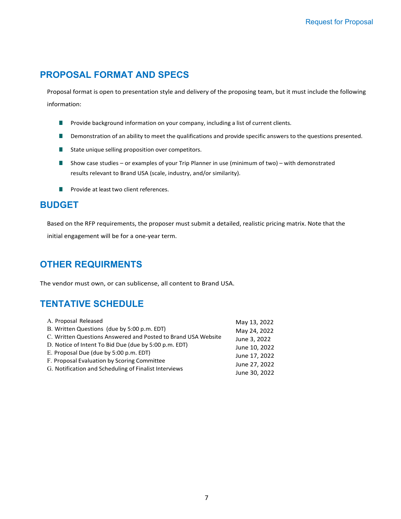#### **PROPOSAL FORMAT AND SPECS**

Proposal format is open to presentation style and delivery of the proposing team, but it must include the following information:

- Provide background information on your company, including a list of current clients.
- Demonstration of an ability to meet the qualifications and provide specific answers to the questions presented.
- State unique selling proposition over competitors.
- Show case studies or examples of your Trip Planner in use (minimum of two) with demonstrated results relevant to Brand USA (scale, industry, and/or similarity).
- Provide at least two client references.

#### **BUDGET**

Based on the RFP requirements, the proposer must submit a detailed, realistic pricing matrix. Note that the initial engagement will be for a one-year term.

#### **OTHER REQUIRMENTS**

The vendor must own, or can sublicense, all content to Brand USA.

#### **TENTATIVE SCHEDULE**

| A. Proposal Released                                          | May 13, 2022  |
|---------------------------------------------------------------|---------------|
| B. Written Questions (due by 5:00 p.m. EDT)                   | May 24, 2022  |
| C. Written Questions Answered and Posted to Brand USA Website | June 3, 2022  |
| D. Notice of Intent To Bid Due (due by 5:00 p.m. EDT)         | June 10, 2022 |
| E. Proposal Due (due by 5:00 p.m. EDT)                        | June 17, 2022 |
| F. Proposal Evaluation by Scoring Committee                   | June 27, 2022 |
| G. Notification and Scheduling of Finalist Interviews         | June 30, 2022 |
|                                                               |               |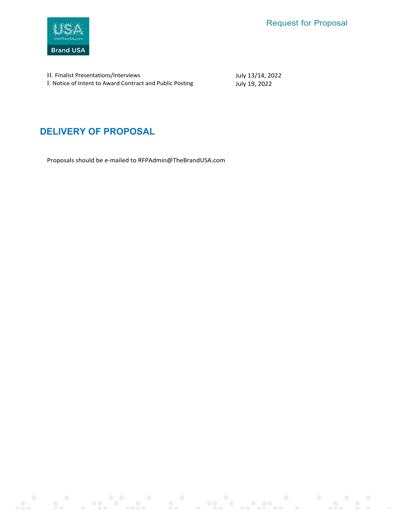

H. Finalist Presentations/Interviews I. Notice of Intent to Award Contract and Public Posting July 13/14, 2022 July 19, 2022

### **DELIVERY OF PROPOSAL**

Proposals should be e-mailed to [RFPAdmin@TheBrandUSA.com](mailto:RFPAdmin@TheBrandUSA.com)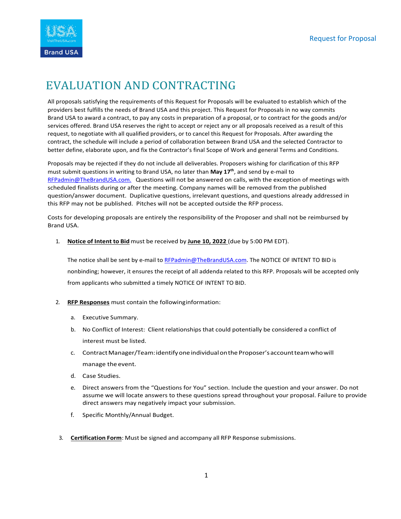

# EVALUATION AND CONTRACTING

All proposals satisfying the requirements of this Request for Proposals will be evaluated to establish which of the providers best fulfills the needs of Brand USA and this project. This Request for Proposals in no way commits Brand USA to award a contract, to pay any costs in preparation of a proposal, or to contract for the goods and/or services offered. Brand USA reserves the right to accept or reject any or all proposals received as a result of this request, to negotiate with all qualified providers, or to cancel this Request for Proposals. After awarding the contract, the schedule will include a period of collaboration between Brand USA and the selected Contractor to better define, elaborate upon, and fix the Contractor's final Scope of Work and general Terms and Conditions.

Proposals may be rejected if they do not include all deliverables. Proposers wishing for clarification of this RFP must submit questions in writing to Brand USA, no later than **May 17th**, and send by e-mail to [RFPadmin@TheBrandUSA.com.](mailto:RFPadmin@TheBrandUSA.com) Questions will not be answered on calls, with the exception of meetings with scheduled finalists during or after the meeting. Company names will be removed from the published question/answer document. Duplicative questions, irrelevant questions, and questions already addressed in this RFP may not be published. Pitches will not be accepted outside the RFP process.

Costs for developing proposals are entirely the responsibility of the Proposer and shall not be reimbursed by Brand USA.

#### 1. **Notice of Intent to Bid** must be received by **June 10, 2022** (due by 5:00 PM EDT).

The notice shall be sent by e-mail to [RFPadmin@TheBrandUSA.com.](mailto:RFPadmin@TheBrandUSA.com) The NOTICE OF INTENT TO BID is nonbinding; however, it ensures the receipt of all addenda related to this RFP. Proposals will be accepted only from applicants who submitted a timely NOTICE OF INTENT TO BID.

- 2. **RFP Responses** must contain the followinginformation:
	- a. Executive Summary.
	- b. No Conflict of Interest: Client relationships that could potentially be considered a conflict of interest must be listed.
	- c. ContractManager/Team:identifyoneindividualonthe Proposer'saccountteamwhowill manage the event.
	- d. Case Studies.
	- e. Direct answers from the "Questions for You" section. Include the question and your answer. Do not assume we will locate answers to these questions spread throughout your proposal. Failure to provide direct answers may negatively impact your submission.
	- f. Specific Monthly/Annual Budget.
	- 3. **Certification Form**: Must be signed and accompany all RFP Response submissions.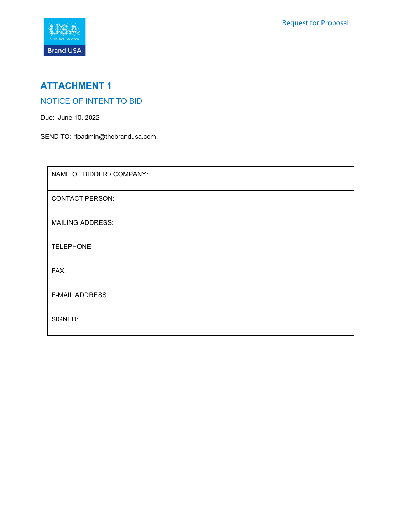

## **ATTACHMENT 1**

#### NOTICE OF INTENT TO BID

Due: June 10, 2022

SEND TO: [rfpadmin@thebrandusa.com](mailto:rfpadmin@thebrandusa.com)

| NAME OF BIDDER / COMPANY: |
|---------------------------|
| <b>CONTACT PERSON:</b>    |
| <b>MAILING ADDRESS:</b>   |
| TELEPHONE:                |
| FAX:                      |
| <b>E-MAIL ADDRESS:</b>    |
| SIGNED:                   |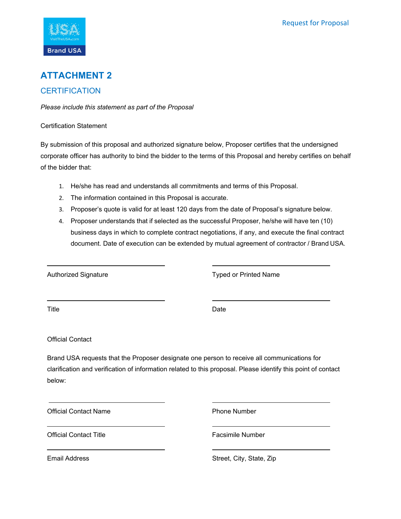Request for Proposal



#### **ATTACHMENT 2**

#### **CERTIFICATION**

*Please include this statement as part of the Proposal*

Certification Statement

By submission of this proposal and authorized signature below, Proposer certifies that the undersigned corporate officer has authority to bind the bidder to the terms of this Proposal and hereby certifies on behalf of the bidder that:

- 1. He/she has read and understands all commitments and terms of this Proposal.
- 2. The information contained in this Proposal is accurate.
- 3. Proposer's quote is valid for at least 120 days from the date of Proposal's signature below.
- 4. Proposer understands that if selected as the successful Proposer, he/she will have ten (10) business days in which to complete contract negotiations, if any, and execute the final contract document. Date of execution can be extended by mutual agreement of contractor / Brand USA.

Authorized Signature Typed or Printed Name

Title Date

Official Contact

Brand USA requests that the Proposer designate one person to receive all communications for clarification and verification of information related to this proposal. Please identify this point of contact below:

Official Contact Name **Phone Number** Phone Number

Official Contact Title **Facsimile Number** Facsimile Number

Email Address **Street, City, State, Zip** Street, City, State, Zip